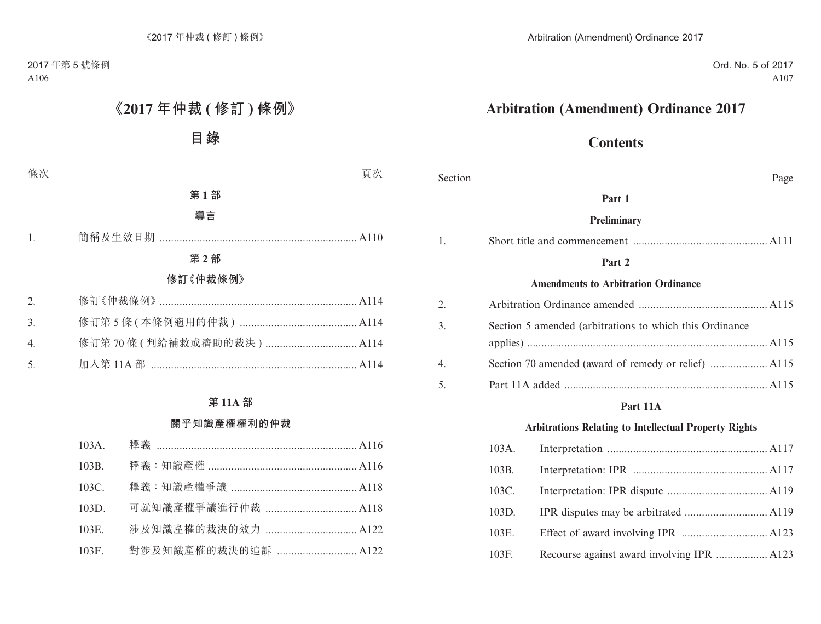# **Arbitration (Amendment) Ordinance 2017**

# **Contents**

| Section |                                                         | Page                                                         |
|---------|---------------------------------------------------------|--------------------------------------------------------------|
|         |                                                         | Part 1                                                       |
|         |                                                         | Preliminary                                                  |
| 1.      |                                                         |                                                              |
|         |                                                         | Part 2                                                       |
|         |                                                         | <b>Amendments to Arbitration Ordinance</b>                   |
| 2.      |                                                         |                                                              |
| 3.      | Section 5 amended (arbitrations to which this Ordinance |                                                              |
|         |                                                         |                                                              |
| 4.      |                                                         |                                                              |
| 5.      |                                                         |                                                              |
|         |                                                         | Part 11A                                                     |
|         |                                                         | <b>Arbitrations Relating to Intellectual Property Rights</b> |
|         | $103A$ .                                                |                                                              |
|         | 103B.                                                   |                                                              |
|         | 103C.                                                   |                                                              |
|         | 103D.                                                   |                                                              |
|         | 103E.                                                   |                                                              |

103F. Recourse against award involving IPR .................. A123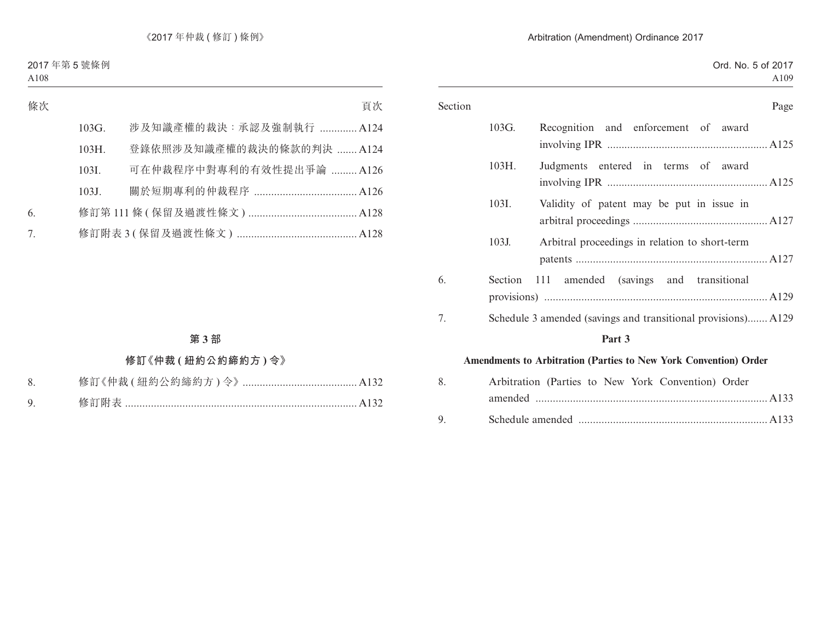| Section |         | Page                                                             |
|---------|---------|------------------------------------------------------------------|
|         | 103G.   | Recognition and enforcement of award                             |
|         | 103H.   | Judgments entered in terms of award                              |
|         | 103I.   | Validity of patent may be put in issue in                        |
|         | 103J.   | Arbitral proceedings in relation to short-term                   |
| 6.      | Section | -111<br>amended (savings and transitional                        |
| 7.      |         | Schedule 3 amended (savings and transitional provisions) A129    |
|         |         | Part 3                                                           |
|         |         | Amendments to Arbitration (Parties to New York Convention) Order |
| 8.      |         | Arbitration (Parties to New York Convention) Order               |
| 9.      |         |                                                                  |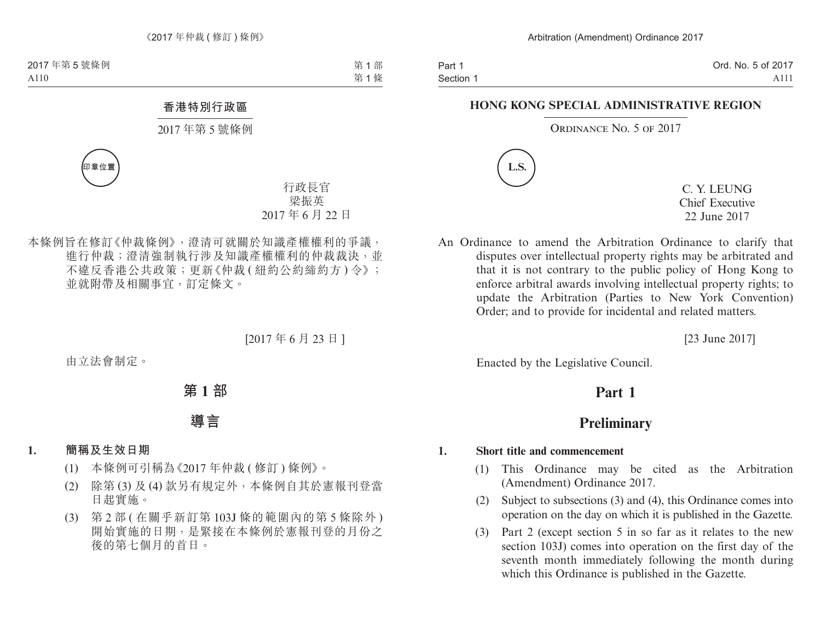Part 1 Section 1 Ord. No. 5 of 2017 A111

#### **HONG KONG SPECIAL ADMINISTRATIVE REGION**

ORDINANCE NO. 5 OF 2017



C. Y. LEUNG Chief Executive 22 June 2017

An Ordinance to amend the Arbitration Ordinance to clarify that disputes over intellectual property rights may be arbitrated and that it is not contrary to the public policy of Hong Kong to enforce arbitral awards involving intellectual property rights; to update the Arbitration (Parties to New York Convention) Order; and to provide for incidental and related matters.

[23 June 2017]

Enacted by the Legislative Council.

# **Part 1**

## **Preliminary**

#### **1. Short title and commencement**

- (1) This Ordinance may be cited as the Arbitration (Amendment) Ordinance 2017.
- (2) Subject to subsections (3) and (4), this Ordinance comes into operation on the day on which it is published in the Gazette.
- (3) Part 2 (except section 5 in so far as it relates to the new section 103J) comes into operation on the first day of the seventh month immediately following the month during which this Ordinance is published in the Gazette.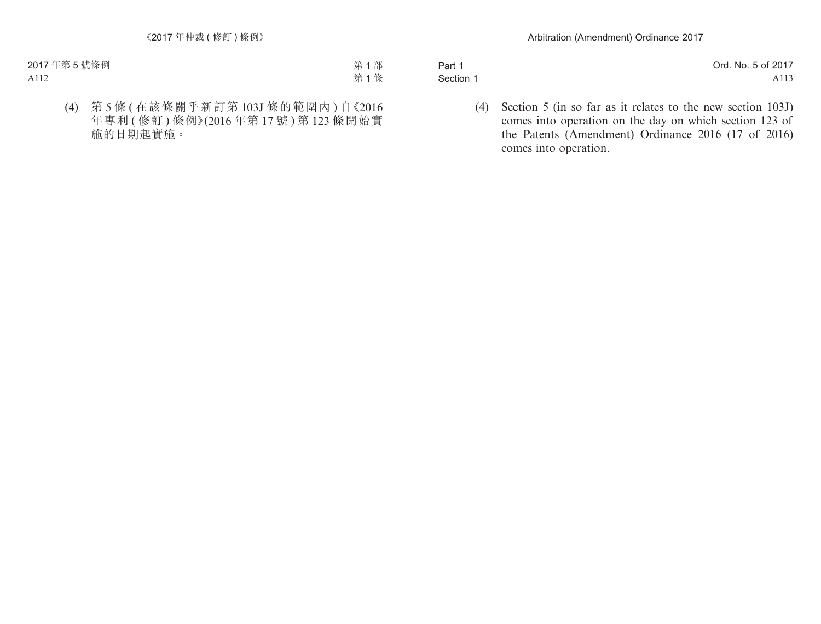| Part 1    | Ord. No. 5 of 2017 |
|-----------|--------------------|
| Section 1 | A113               |

(4) Section 5 (in so far as it relates to the new section 103J) comes into operation on the day on which section 123 of the Patents (Amendment) Ordinance 2016 (17 of 2016) comes into operation.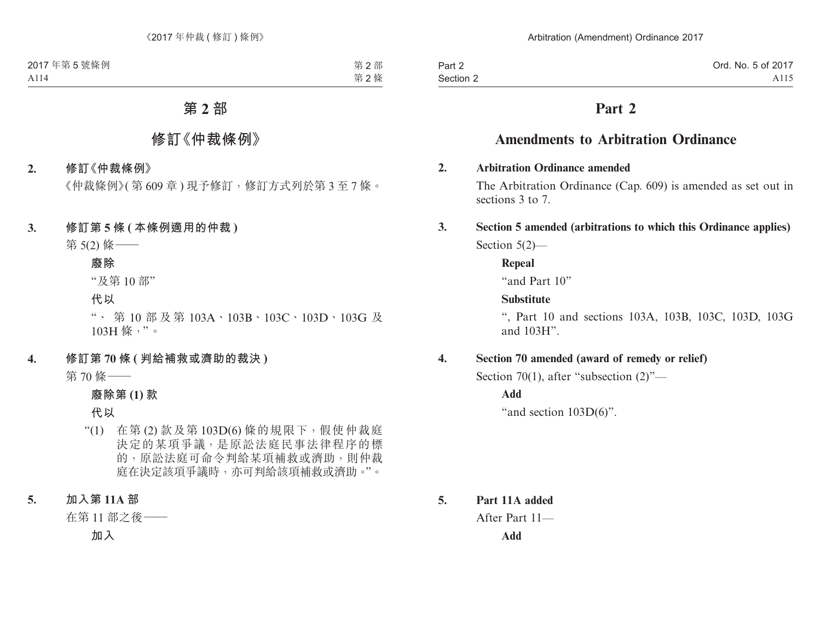Part 2 Section 2

# **Part 2**

# **Amendments to Arbitration Ordinance**

### **2. Arbitration Ordinance amended**

The Arbitration Ordinance (Cap. 609) is amended as set out in sections 3 to 7.

## **3. Section 5 amended (arbitrations to which this Ordinance applies)** Section 5(2)—

**Repeal**

"and Part 10"

## **Substitute**

", Part 10 and sections 103A, 103B, 103C, 103D, 103G and 103H".

## **4. Section 70 amended (award of remedy or relief)**

Section 70(1), after "subsection (2)"—

**Add**

"and section  $103D(6)$ ".

**5. Part 11A added** After Part 11— **Add**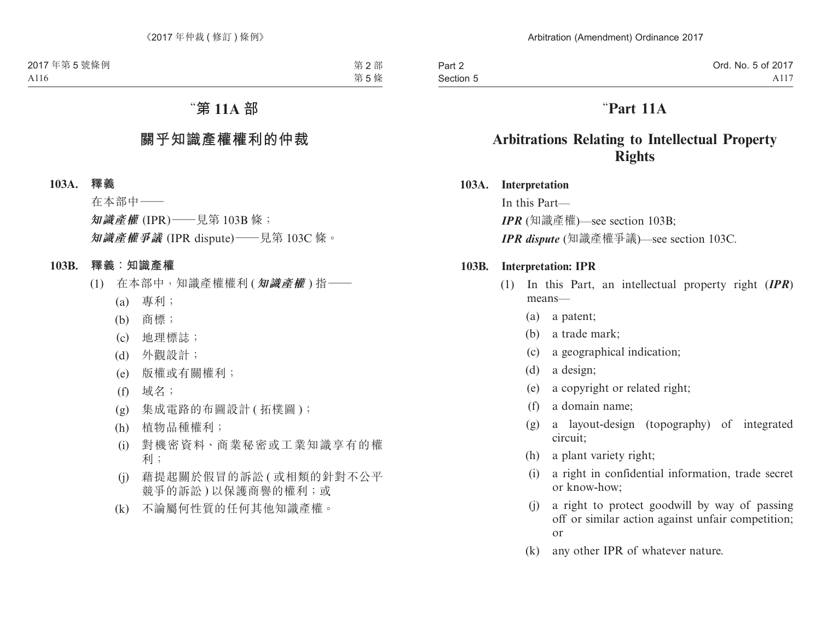# "**Part 11A**

# **Arbitrations Relating to Intellectual Property Rights**

### **103A. Interpretation**

In this Part— *IPR* (知識產權)—see section 103B; *IPR dispute* (知識產權爭議)—see section 103C.

### **103B. Interpretation: IPR**

- (1) In this Part, an intellectual property right (*IPR*) means—
	- (a) a patent;
	- (b) a trade mark;
	- (c) a geographical indication;
	- (d) a design;
	- (e) a copyright or related right;
	- (f) a domain name;
	- (g) a layout-design (topography) of integrated circuit;
	- (h) a plant variety right;
	- (i) a right in confidential information, trade secret or know-how;
	- (j) a right to protect goodwill by way of passing off or similar action against unfair competition; or
	- (k) any other IPR of whatever nature.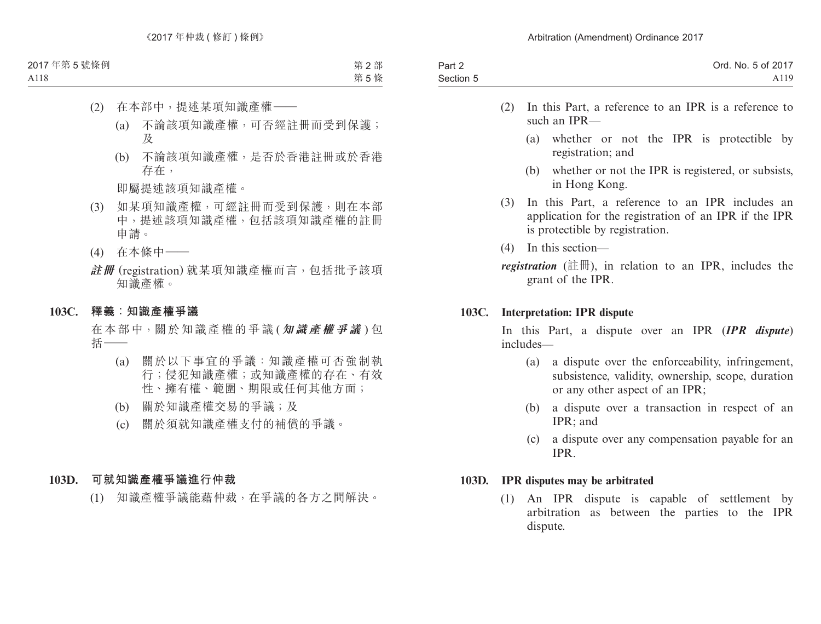| Part 2    | Ord. No. 5 of 2017 |
|-----------|--------------------|
| Section 5 | A119               |

- (2) In this Part, a reference to an IPR is a reference to such an IPR—
	- (a) whether or not the IPR is protectible by registration; and
	- (b) whether or not the IPR is registered, or subsists, in Hong Kong.
- (3) In this Part, a reference to an IPR includes an application for the registration of an IPR if the IPR is protectible by registration.
- (4) In this section—

*registration* (註冊), in relation to an IPR, includes the grant of the IPR.

### **103C. Interpretation: IPR dispute**

In this Part, a dispute over an IPR (*IPR dispute*) includes—

- (a) a dispute over the enforceability, infringement, subsistence, validity, ownership, scope, duration or any other aspect of an IPR;
- (b) a dispute over a transaction in respect of an IPR; and
- (c) a dispute over any compensation payable for an IPR.

#### **103D. IPR disputes may be arbitrated**

(1) An IPR dispute is capable of settlement by arbitration as between the parties to the IPR dispute.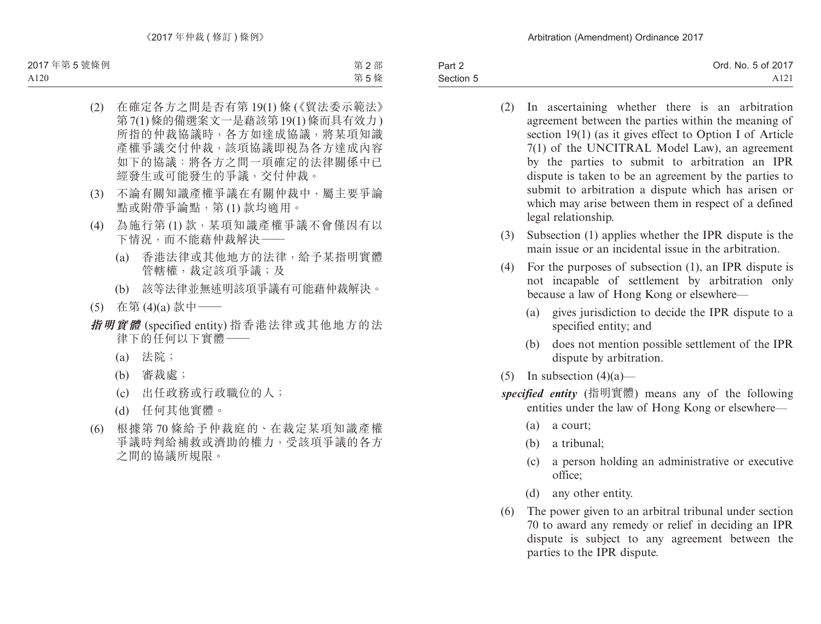Part 2 Section 5 Ord. No. 5 of 2017 A121

- (2) In ascertaining whether there is an arbitration agreement between the parties within the meaning of section 19(1) (as it gives effect to Option I of Article 7(1) of the UNCITRAL Model Law), an agreement by the parties to submit to arbitration an IPR dispute is taken to be an agreement by the parties to submit to arbitration a dispute which has arisen or which may arise between them in respect of a defined legal relationship.
- (3) Subsection (1) applies whether the IPR dispute is the main issue or an incidental issue in the arbitration.
- (4) For the purposes of subsection (1), an IPR dispute is not incapable of settlement by arbitration only because a law of Hong Kong or elsewhere—
	- (a) gives jurisdiction to decide the IPR dispute to a specified entity; and
	- (b) does not mention possible settlement of the IPR dispute by arbitration.
- (5) In subsection  $(4)(a)$ —
- *specified entity* (指明實體) means any of the following entities under the law of Hong Kong or elsewhere—
	- (a) a court;
	- (b) a tribunal;
	- (c) a person holding an administrative or executive office;
	- (d) any other entity.
- (6) The power given to an arbitral tribunal under section 70 to award any remedy or relief in deciding an IPR dispute is subject to any agreement between the parties to the IPR dispute.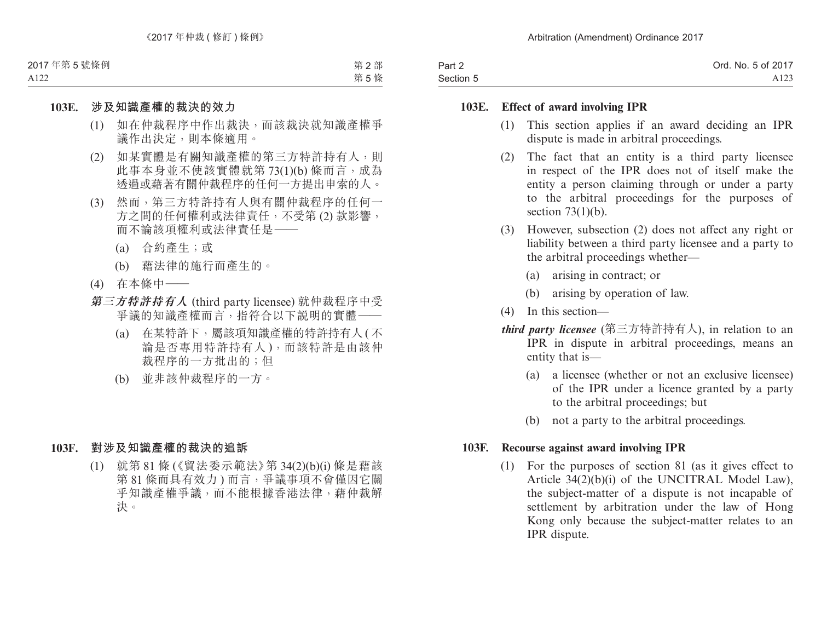| Part 2    | Ord. No. 5 of 2017 |
|-----------|--------------------|
| Section 5 | A <sub>123</sub>   |

#### **103E. Effect of award involving IPR**

- (1) This section applies if an award deciding an IPR dispute is made in arbitral proceedings.
- (2) The fact that an entity is a third party licensee in respect of the IPR does not of itself make the entity a person claiming through or under a party to the arbitral proceedings for the purposes of section  $73(1)(b)$ .
- (3) However, subsection (2) does not affect any right or liability between a third party licensee and a party to the arbitral proceedings whether—
	- (a) arising in contract; or
	- (b) arising by operation of law.
- (4) In this section—
- *third party licensee* (第三方特許持有人), in relation to an IPR in dispute in arbitral proceedings, means an entity that is—
	- (a) a licensee (whether or not an exclusive licensee) of the IPR under a licence granted by a party to the arbitral proceedings; but
	- (b) not a party to the arbitral proceedings.

### **103F. Recourse against award involving IPR**

(1) For the purposes of section 81 (as it gives effect to Article 34(2)(b)(i) of the UNCITRAL Model Law), the subject-matter of a dispute is not incapable of settlement by arbitration under the law of Hong Kong only because the subject-matter relates to an IPR dispute.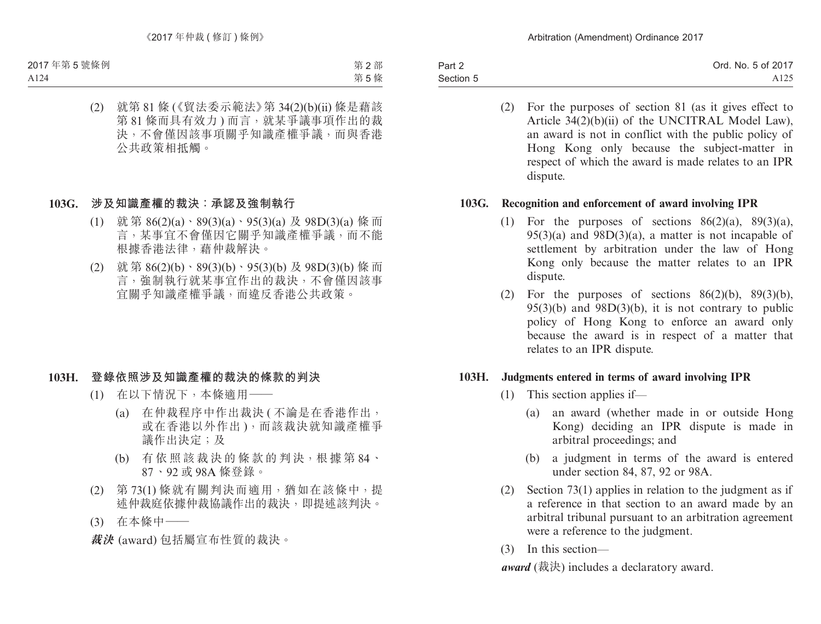| Part 2    | Ord. No. 5 of 2017 |
|-----------|--------------------|
| Section 5 | A <sub>125</sub>   |

(2) For the purposes of section 81 (as it gives effect to Article 34(2)(b)(ii) of the UNCITRAL Model Law), an award is not in conflict with the public policy of Hong Kong only because the subject-matter in respect of which the award is made relates to an IPR dispute.

### **103G. Recognition and enforcement of award involving IPR**

- (1) For the purposes of sections  $86(2)(a)$ ,  $89(3)(a)$ ,  $95(3)(a)$  and  $98D(3)(a)$ , a matter is not incapable of settlement by arbitration under the law of Hong Kong only because the matter relates to an IPR dispute.
- (2) For the purposes of sections  $86(2)(b)$ ,  $89(3)(b)$ ,  $95(3)(b)$  and  $98D(3)(b)$ , it is not contrary to public policy of Hong Kong to enforce an award only because the award is in respect of a matter that relates to an IPR dispute.

#### **103H. Judgments entered in terms of award involving IPR**

- (1) This section applies if—
	- (a) an award (whether made in or outside Hong Kong) deciding an IPR dispute is made in arbitral proceedings; and
	- (b) a judgment in terms of the award is entered under section 84, 87, 92 or 98A.
- (2) Section 73(1) applies in relation to the judgment as if a reference in that section to an award made by an arbitral tribunal pursuant to an arbitration agreement were a reference to the judgment.
- (3) In this section—

*award* (裁決) includes a declaratory award.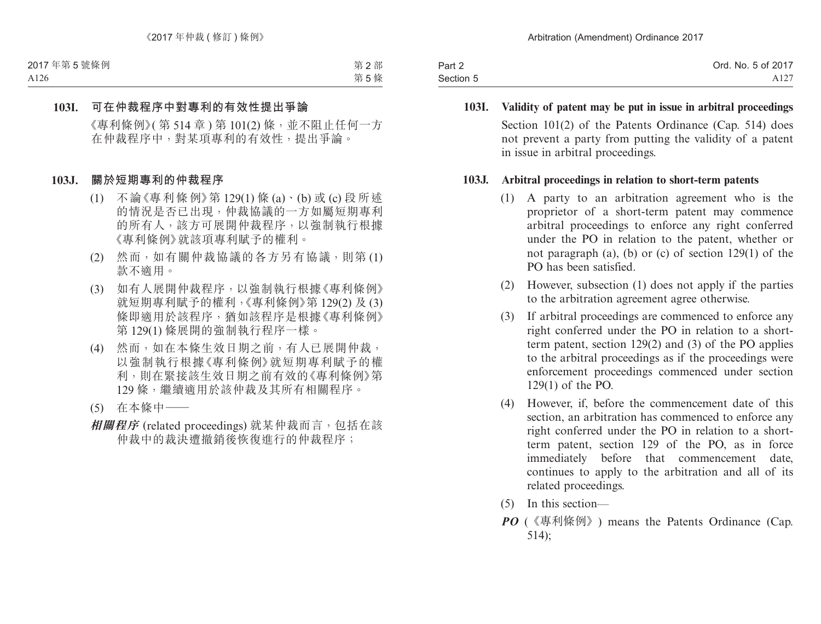| Part 2    | Ord. No. 5 of 2017 |
|-----------|--------------------|
| Section 5 | A127               |

**103I. Validity of patent may be put in issue in arbitral proceedings** Section 101(2) of the Patents Ordinance (Cap. 514) does not prevent a party from putting the validity of a patent in issue in arbitral proceedings.

#### **103J. Arbitral proceedings in relation to short-term patents**

- (1) A party to an arbitration agreement who is the proprietor of a short-term patent may commence arbitral proceedings to enforce any right conferred under the PO in relation to the patent, whether or not paragraph (a), (b) or (c) of section 129(1) of the PO has been satisfied.
- (2) However, subsection (1) does not apply if the parties to the arbitration agreement agree otherwise.
- (3) If arbitral proceedings are commenced to enforce any right conferred under the PO in relation to a shortterm patent, section 129(2) and (3) of the PO applies to the arbitral proceedings as if the proceedings were enforcement proceedings commenced under section 129(1) of the PO.
- (4) However, if, before the commencement date of this section, an arbitration has commenced to enforce any right conferred under the PO in relation to a shortterm patent, section 129 of the PO, as in force immediately before that commencement date, continues to apply to the arbitration and all of its related proceedings.
- (5) In this section—
- *PO* (《專利條例》) means the Patents Ordinance (Cap. 514);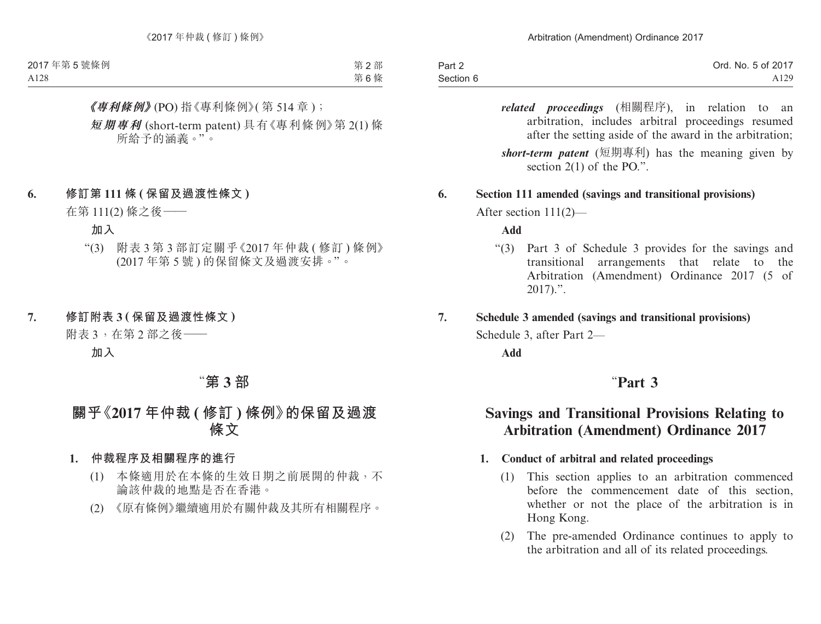| Part 2    | Ord. No. 5 of 2017 |
|-----------|--------------------|
| Section 6 | A129               |

*related proceedings* (相關程序), in relation to an arbitration, includes arbitral proceedings resumed after the setting aside of the award in the arbitration;

*short-term patent* (短期專利) has the meaning given by section 2(1) of the PO.".

### **6. Section 111 amended (savings and transitional provisions)**

After section 111(2)—

#### **Add**

"(3) Part 3 of Schedule 3 provides for the savings and transitional arrangements that relate to the Arbitration (Amendment) Ordinance 2017 (5 of  $2017$ .".

#### **7. Schedule 3 amended (savings and transitional provisions)**

Schedule 3, after Part 2—

**Add**

## "**Part 3**

# **Savings and Transitional Provisions Relating to Arbitration (Amendment) Ordinance 2017**

#### **1. Conduct of arbitral and related proceedings**

- (1) This section applies to an arbitration commenced before the commencement date of this section, whether or not the place of the arbitration is in Hong Kong.
- (2) The pre-amended Ordinance continues to apply to the arbitration and all of its related proceedings.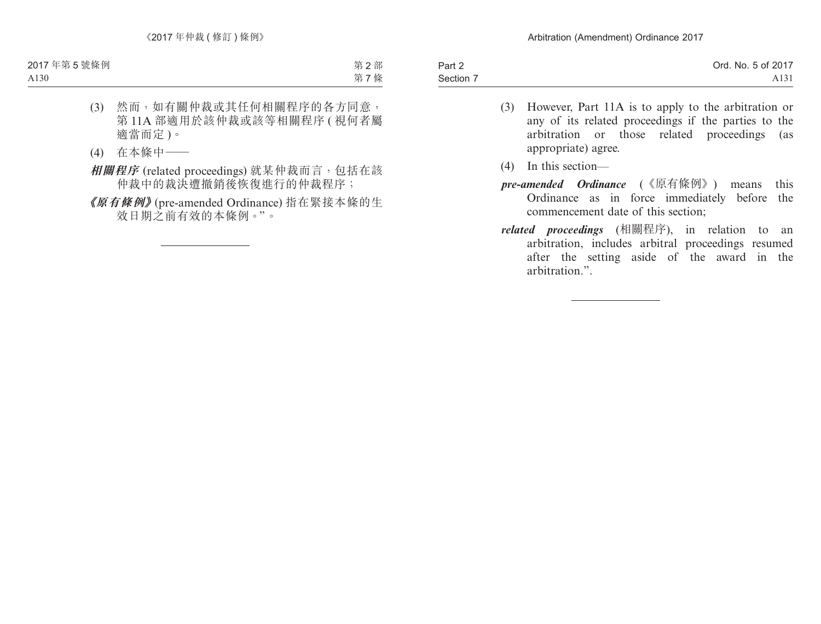| Part 2    | Ord. No. 5 of 2017 |
|-----------|--------------------|
| Section 7 | A <sub>131</sub>   |
|           |                    |

- (3) However, Part 11A is to apply to the arbitration or any of its related proceedings if the parties to the arbitration or those related proceedings (as appropriate) agree.
- (4) In this section—
- *pre-amended Ordinance* (《原有條例》) means this Ordinance as in force immediately before the commencement date of this section;
- *related proceedings* (相關程序), in relation to an arbitration, includes arbitral proceedings resumed after the setting aside of the award in the arbitration.".